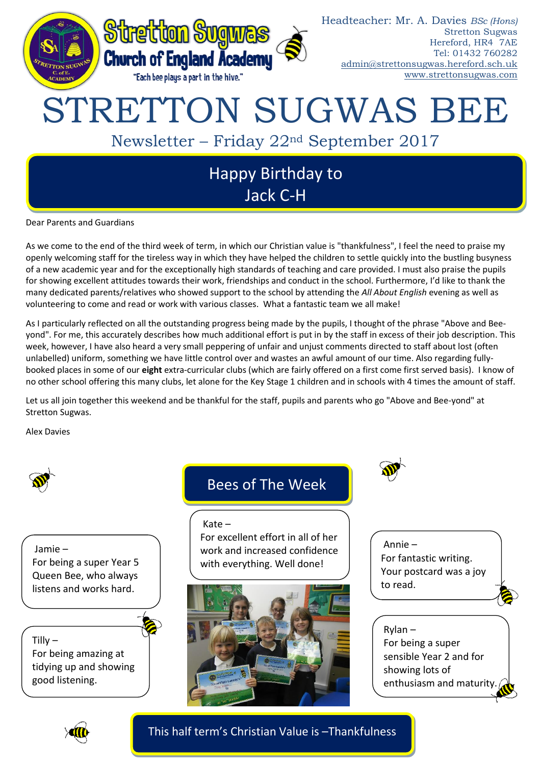

Dear Parents and Guardians

As we come to the end of the third week of term, in which our Christian value is "thankfulness", I feel the need to praise my openly welcoming staff for the tireless way in which they have helped the children to settle quickly into the bustling busyness of a new academic year and for the exceptionally high standards of teaching and care provided. I must also praise the pupils for showing excellent attitudes towards their work, friendships and conduct in the school. Furthermore, I'd like to thank the many dedicated parents/relatives who showed support to the school by attending the *All About English* evening as well as volunteering to come and read or work with various classes. What a fantastic team we all make!

As I particularly reflected on all the outstanding progress being made by the pupils, I thought of the phrase "Above and Beeyond". For me, this accurately describes how much additional effort is put in by the staff in excess of their job description. This week, however, I have also heard a very small peppering of unfair and unjust comments directed to staff about lost (often unlabelled) uniform, something we have little control over and wastes an awful amount of our time. Also regarding fullybooked places in some of our **eight** extra-curricular clubs (which are fairly offered on a first come first served basis). I know of no other school offering this many clubs, let alone for the Key Stage 1 children and in schools with 4 times the amount of staff.

Let us all join together this weekend and be thankful for the staff, pupils and parents who go "Above and Bee-yond" at Stretton Sugwas.

Alex Davies



Jamie – For being a super Year 5 Queen Bee, who always listens and works hard.

Tilly  $-$ 

For being amazing at tidying up and showing good listening.

# Bees of The Week

#### Kate –

For excellent effort in all of her work and increased confidence with everything. Well done!



Annie – For fantastic writing. Your postcard was a joy to read.

Rylan – For being a super sensible Year 2 and for showing lots of enthusiasm and maturity.



This half term's Christian Value is –Thankfulness